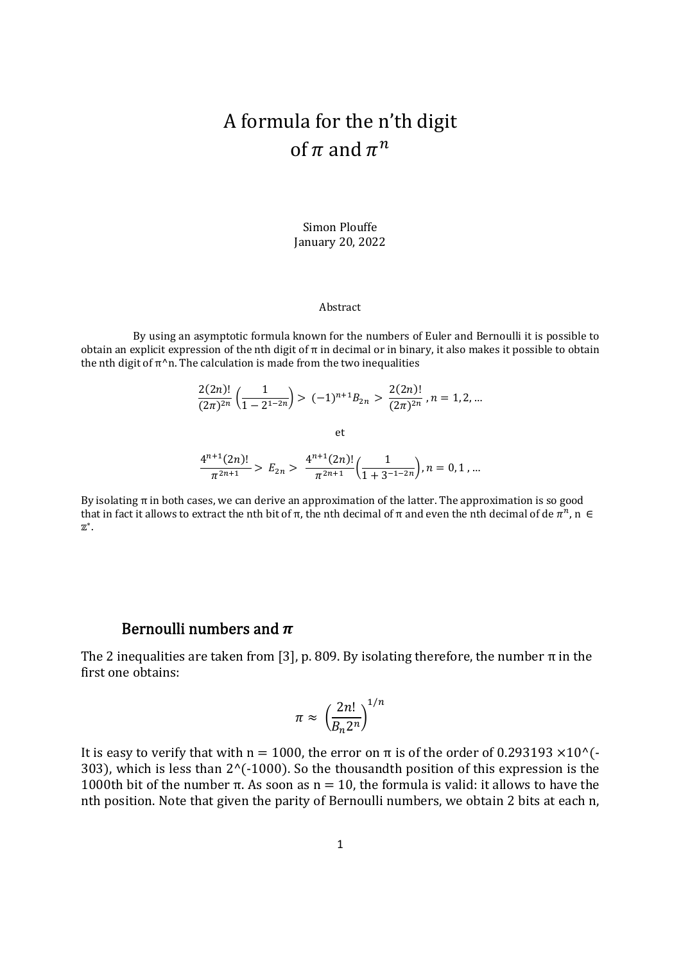# A formula for the n'th digit of  $\pi$  and  $\pi^n$

Simon Plouffe January 20, 2022

#### Abstract

 By using an asymptotic formula known for the numbers of Euler and Bernoulli it is possible to obtain an explicit expression of the nth digit of  $\pi$  in decimal or in binary, it also makes it possible to obtain the nth digit of  $\pi^n$ n. The calculation is made from the two inequalities

$$
\frac{2(2n)!}{(2\pi)^{2n}} \left( \frac{1}{1 - 2^{1 - 2n}} \right) > (-1)^{n+1} B_{2n} > \frac{2(2n)!}{(2\pi)^{2n}}, n = 1, 2, \dots
$$
\net

\n
$$
\frac{4^{n+1}(2n)!}{\pi^{2n+1}} > E_{2n} > \frac{4^{n+1}(2n)!}{\pi^{2n+1}} \left( \frac{1}{1 + 3^{-1 - 2n}} \right), n = 0, 1, \dots
$$

By isolating  $\pi$  in both cases, we can derive an approximation of the latter. The approximation is so good that in fact it allows to extract the nth bit of π, the nth decimal of π and even the nth decimal of de  $\pi^n$ , n  $\in$ ∗.

### Bernoulli numbers and  $\pi$

The 2 inequalities are taken from [3], p. 809. By isolating therefore, the number  $\pi$  in the first one obtains:

$$
\pi \approx \left(\frac{2n!}{B_n 2^n}\right)^{1/n}
$$

It is easy to verify that with n = 1000, the error on  $\pi$  is of the order of 0.293193  $\times$ 10^(-303), which is less than  $2^{\wedge}$ (-1000). So the thousandth position of this expression is the 1000th bit of the number π. As soon as  $n = 10$ , the formula is valid: it allows to have the nth position. Note that given the parity of Bernoulli numbers, we obtain 2 bits at each n,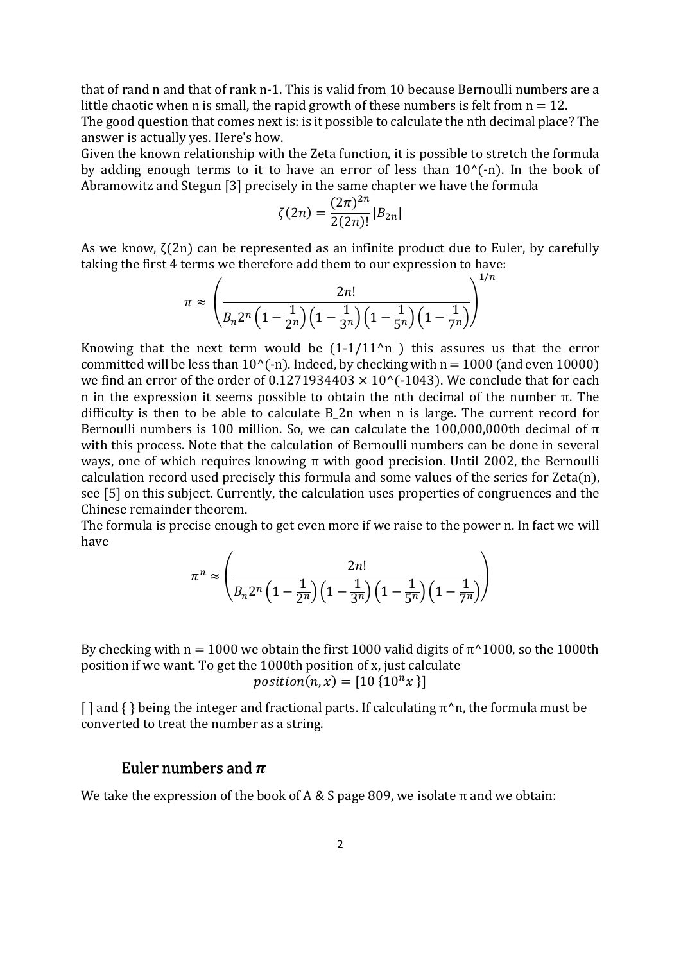that of rand n and that of rank n-1. This is valid from 10 because Bernoulli numbers are a little chaotic when n is small, the rapid growth of these numbers is felt from  $n = 12$ . The good question that comes next is: is it possible to calculate the nth decimal place? The answer is actually yes. Here's how.

Given the known relationship with the Zeta function, it is possible to stretch the formula by adding enough terms to it to have an error of less than  $10^{\circ}$ (-n). In the book of Abramowitz and Stegun [3] precisely in the same chapter we have the formula

$$
\zeta(2n) = \frac{(2\pi)^{2n}}{2(2n)!} |B_{2n}|
$$

As we know,  $\zeta(2n)$  can be represented as an infinite product due to Euler, by carefully taking the first 4 terms we therefore add them to our expression to have:

$$
\pi \approx \left(\frac{2n!}{B_n 2^n \left(1 - \frac{1}{2^n}\right) \left(1 - \frac{1}{3^n}\right) \left(1 - \frac{1}{5^n}\right) \left(1 - \frac{1}{7^n}\right)}\right)^{1/n}
$$

Knowing that the next term would be  $(1-1/11^n)$  this assures us that the error committed will be less than  $10^{6}$ -n). Indeed, by checking with n = 1000 (and even 10000) we find an error of the order of 0.1271934403  $\times$  10^(-1043). We conclude that for each n in the expression it seems possible to obtain the nth decimal of the number π. The difficulty is then to be able to calculate B\_2n when n is large. The current record for Bernoulli numbers is 100 million. So, we can calculate the 100,000,000th decimal of  $π$ with this process. Note that the calculation of Bernoulli numbers can be done in several ways, one of which requires knowing π with good precision. Until 2002, the Bernoulli calculation record used precisely this formula and some values of the series for  $Zeta(n)$ , see [5] on this subject. Currently, the calculation uses properties of congruences and the Chinese remainder theorem.

The formula is precise enough to get even more if we raise to the power n. In fact we will have

$$
\pi^{n} \approx \left(\frac{2n!}{B_{n}2^{n}\left(1-\frac{1}{2^{n}}\right)\left(1-\frac{1}{3^{n}}\right)\left(1-\frac{1}{5^{n}}\right)\left(1-\frac{1}{7^{n}}\right)}\right)
$$

By checking with  $n = 1000$  we obtain the first 1000 valid digits of  $\pi^{\wedge}1000$ , so the 1000th position if we want. To get the 1000th position of x, just calculate position(n, x) =  $[10 \{10^n x\}]$ 

 $\lceil \cdot \rceil$  and  $\lceil \cdot \rceil$  being the integer and fractional parts. If calculating  $\pi^h$ n, the formula must be converted to treat the number as a string.

### Euler numbers and  $\pi$

We take the expression of the book of A & S page 809, we isolate  $\pi$  and we obtain: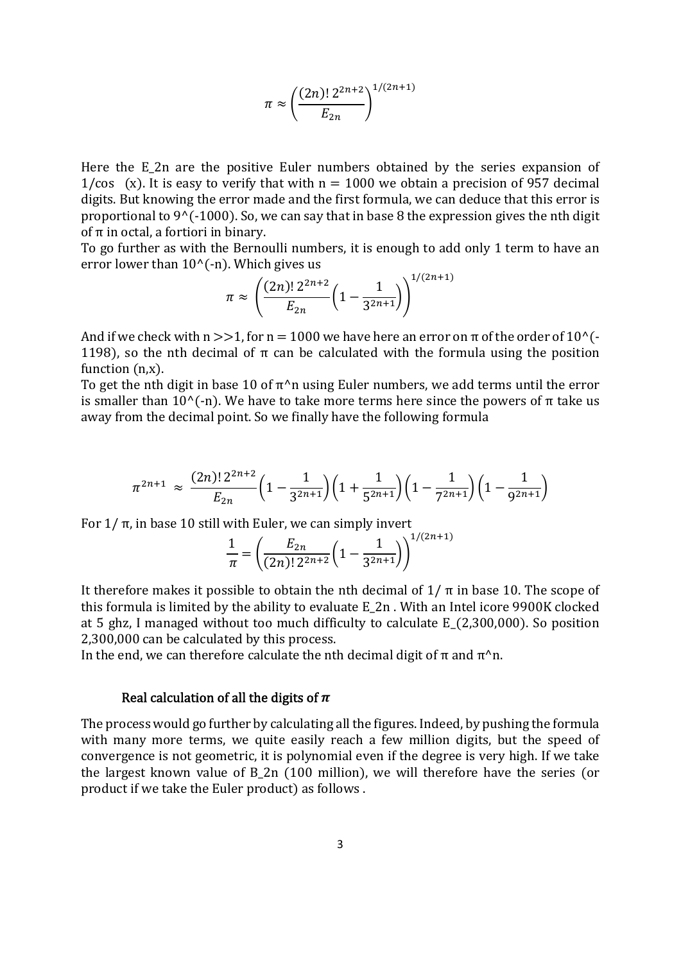$$
\pi \approx \left(\frac{(2n)! \, 2^{2n+2}}{E_{2n}}\right)^{1/(2n+1)}
$$

Here the E 2n are the positive Euler numbers obtained by the series expansion of 1/cos (x). It is easy to verify that with  $n = 1000$  we obtain a precision of 957 decimal digits. But knowing the error made and the first formula, we can deduce that this error is proportional to  $9^{\circ}$  (-1000). So, we can say that in base 8 the expression gives the nth digit of π in octal, a fortiori in binary.

To go further as with the Bernoulli numbers, it is enough to add only 1 term to have an error lower than  $10^{\circ}$  (-n). Which gives us

$$
\pi \approx \left(\frac{(2n)! \, 2^{2n+2}}{E_{2n}} \left(1 - \frac{1}{3^{2n+1}}\right)\right)^{1/(2n+1)}
$$

And if we check with  $n >> 1$ , for  $n = 1000$  we have here an error on  $\pi$  of the order of 10<sup>^</sup>(-1198), so the nth decimal of  $\pi$  can be calculated with the formula using the position function  $(n,x)$ .

To get the nth digit in base 10 of  $\pi^{\wedge}$ n using Euler numbers, we add terms until the error is smaller than 10^(-n). We have to take more terms here since the powers of π take us away from the decimal point. So we finally have the following formula

$$
\pi^{2n+1} \approx \frac{(2n)! \, 2^{2n+2}}{E_{2n}} \bigg( 1 - \frac{1}{3^{2n+1}} \bigg) \bigg( 1 + \frac{1}{5^{2n+1}} \bigg) \bigg( 1 - \frac{1}{7^{2n+1}} \bigg) \bigg( 1 - \frac{1}{9^{2n+1}} \bigg)
$$

For  $1/$  π, in base 10 still with Euler, we can simply invert

$$
\frac{1}{\pi} = \left(\frac{E_{2n}}{(2n)! \, 2^{2n+2}} \left(1 - \frac{1}{3^{2n+1}}\right)\right)^{1/(2n+1)}
$$

It therefore makes it possible to obtain the nth decimal of  $1/\pi$  in base 10. The scope of this formula is limited by the ability to evaluate E\_2n . With an Intel icore 9900K clocked at 5 ghz, I managed without too much difficulty to calculate E  $(2,300,000)$ . So position 2,300,000 can be calculated by this process.

In the end, we can therefore calculate the nth decimal digit of  $\pi$  and  $\pi^n$ .

#### Real calculation of all the digits of  $\pi$

The process would go further by calculating all the figures. Indeed, by pushing the formula with many more terms, we quite easily reach a few million digits, but the speed of convergence is not geometric, it is polynomial even if the degree is very high. If we take the largest known value of B 2n  $(100 \text{ million})$ , we will therefore have the series (or product if we take the Euler product) as follows .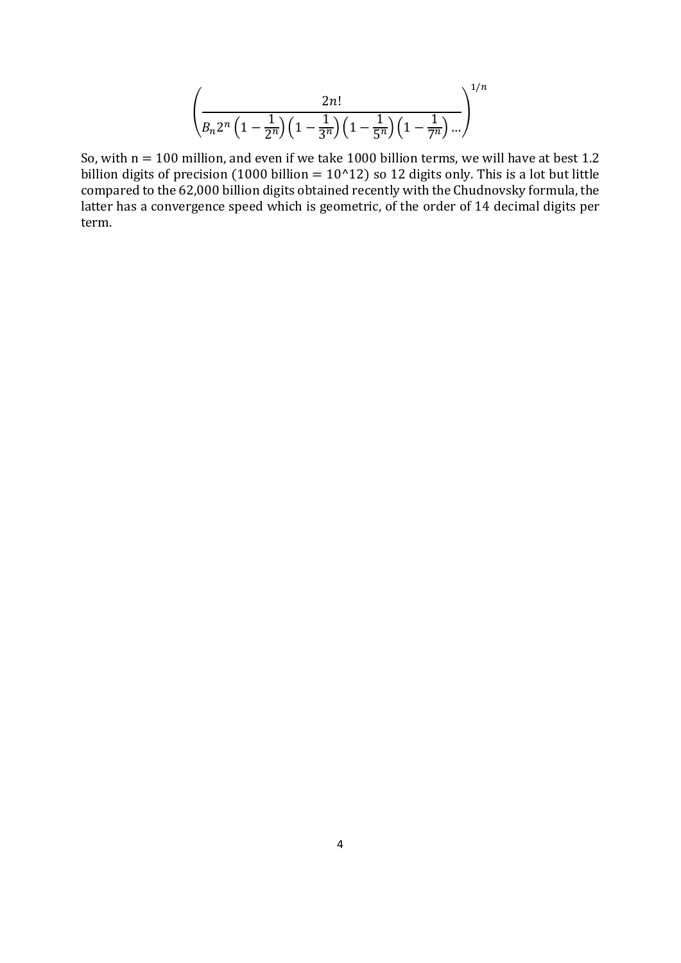$$
\left(\frac{2n!}{B_n 2^n \left(1 - \frac{1}{2^n}\right) \left(1 - \frac{1}{3^n}\right) \left(1 - \frac{1}{5^n}\right) \left(1 - \frac{1}{7^n}\right) \dots}\right)^{1/n}
$$

So, with  $n = 100$  million, and even if we take 1000 billion terms, we will have at best 1.2 billion digits of precision (1000 billion =  $10^{\circ}12$ ) so 12 digits only. This is a lot but little compared to the 62,000 billion digits obtained recently with the Chudnovsky formula, the latter has a convergence speed which is geometric, of the order of 14 decimal digits per term.